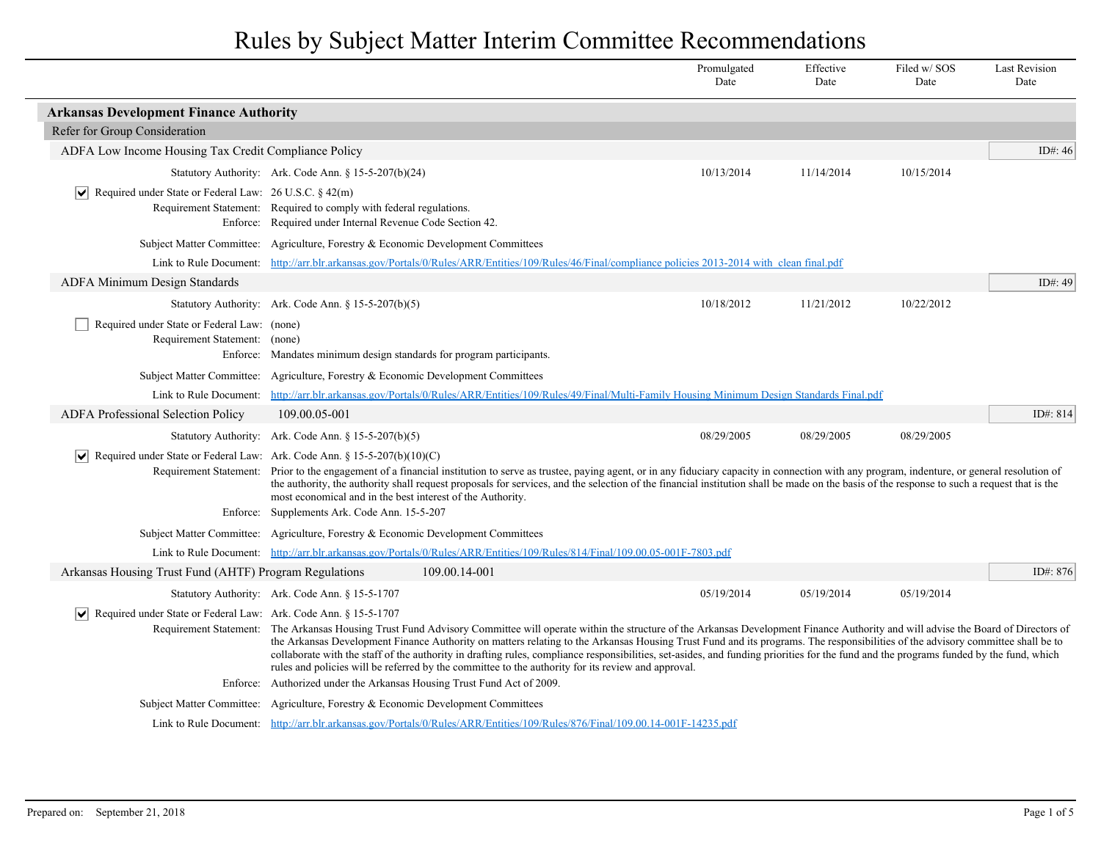|                                                                                                            |                                                                                                                                                                                                                                                                                                                                                                                                                                                                                                                                                                                                                                                                                       |                                                                                                                              | Promulgated<br>Date                                                                                                                                        | Effective<br>Date | Filed w/SOS<br>Date | <b>Last Revision</b><br>Date |
|------------------------------------------------------------------------------------------------------------|---------------------------------------------------------------------------------------------------------------------------------------------------------------------------------------------------------------------------------------------------------------------------------------------------------------------------------------------------------------------------------------------------------------------------------------------------------------------------------------------------------------------------------------------------------------------------------------------------------------------------------------------------------------------------------------|------------------------------------------------------------------------------------------------------------------------------|------------------------------------------------------------------------------------------------------------------------------------------------------------|-------------------|---------------------|------------------------------|
| <b>Arkansas Development Finance Authority</b>                                                              |                                                                                                                                                                                                                                                                                                                                                                                                                                                                                                                                                                                                                                                                                       |                                                                                                                              |                                                                                                                                                            |                   |                     |                              |
| Refer for Group Consideration                                                                              |                                                                                                                                                                                                                                                                                                                                                                                                                                                                                                                                                                                                                                                                                       |                                                                                                                              |                                                                                                                                                            |                   |                     |                              |
| ADFA Low Income Housing Tax Credit Compliance Policy                                                       |                                                                                                                                                                                                                                                                                                                                                                                                                                                                                                                                                                                                                                                                                       |                                                                                                                              |                                                                                                                                                            |                   |                     | ID#: 46                      |
|                                                                                                            | Statutory Authority: Ark. Code Ann. § 15-5-207(b)(24)                                                                                                                                                                                                                                                                                                                                                                                                                                                                                                                                                                                                                                 |                                                                                                                              | 10/13/2014                                                                                                                                                 | 11/14/2014        | 10/15/2014          |                              |
| Required under State or Federal Law: $26$ U.S.C. § 42(m)                                                   | Requirement Statement: Required to comply with federal regulations.<br>Enforce: Required under Internal Revenue Code Section 42.                                                                                                                                                                                                                                                                                                                                                                                                                                                                                                                                                      |                                                                                                                              |                                                                                                                                                            |                   |                     |                              |
|                                                                                                            | Subject Matter Committee: Agriculture, Forestry & Economic Development Committees                                                                                                                                                                                                                                                                                                                                                                                                                                                                                                                                                                                                     |                                                                                                                              |                                                                                                                                                            |                   |                     |                              |
| Link to Rule Document:                                                                                     |                                                                                                                                                                                                                                                                                                                                                                                                                                                                                                                                                                                                                                                                                       |                                                                                                                              | http://arr.blr.arkansas.gov/Portals/0/Rules/ARR/Entities/109/Rules/46/Final/compliance policies 2013-2014 with clean final.pdf                             |                   |                     |                              |
| ADFA Minimum Design Standards                                                                              |                                                                                                                                                                                                                                                                                                                                                                                                                                                                                                                                                                                                                                                                                       |                                                                                                                              |                                                                                                                                                            |                   |                     | ID#: 49                      |
|                                                                                                            | Statutory Authority: Ark. Code Ann. § 15-5-207(b)(5)                                                                                                                                                                                                                                                                                                                                                                                                                                                                                                                                                                                                                                  |                                                                                                                              | 10/18/2012                                                                                                                                                 | 11/21/2012        | 10/22/2012          |                              |
| Required under State or Federal Law: (none)<br>Requirement Statement: (none)                               | Enforce: Mandates minimum design standards for program participants.                                                                                                                                                                                                                                                                                                                                                                                                                                                                                                                                                                                                                  |                                                                                                                              |                                                                                                                                                            |                   |                     |                              |
|                                                                                                            | Subject Matter Committee: Agriculture, Forestry & Economic Development Committees                                                                                                                                                                                                                                                                                                                                                                                                                                                                                                                                                                                                     |                                                                                                                              |                                                                                                                                                            |                   |                     |                              |
|                                                                                                            |                                                                                                                                                                                                                                                                                                                                                                                                                                                                                                                                                                                                                                                                                       |                                                                                                                              | Link to Rule Document: http://arr.blr.arkansas.gov/Portals/0/Rules/ARR/Entities/109/Rules/49/Final/Multi-Family Housing Minimum Design Standards Final.pdf |                   |                     |                              |
| <b>ADFA Professional Selection Policy</b>                                                                  | 109.00.05-001                                                                                                                                                                                                                                                                                                                                                                                                                                                                                                                                                                                                                                                                         |                                                                                                                              |                                                                                                                                                            |                   |                     | ID#: 814                     |
|                                                                                                            | Statutory Authority: Ark. Code Ann. § 15-5-207(b)(5)                                                                                                                                                                                                                                                                                                                                                                                                                                                                                                                                                                                                                                  |                                                                                                                              | 08/29/2005                                                                                                                                                 | 08/29/2005        | 08/29/2005          |                              |
| $\blacktriangleright$ Required under State or Federal Law: Ark. Code Ann. § 15-5-207(b)(10)(C)<br>Enforce: | Requirement Statement: Prior to the engagement of a financial institution to serve as trustee, paying agent, or in any fiduciary capacity in connection with any program, indenture, or general resolution of<br>the authority, the authority shall request proposals for services, and the selection of the financial institution shall be made on the basis of the response to such a request that is the<br>most economical and in the best interest of the Authority.<br>Supplements Ark. Code Ann. 15-5-207                                                                                                                                                                      |                                                                                                                              |                                                                                                                                                            |                   |                     |                              |
|                                                                                                            | Subject Matter Committee: Agriculture, Forestry & Economic Development Committees                                                                                                                                                                                                                                                                                                                                                                                                                                                                                                                                                                                                     |                                                                                                                              |                                                                                                                                                            |                   |                     |                              |
|                                                                                                            |                                                                                                                                                                                                                                                                                                                                                                                                                                                                                                                                                                                                                                                                                       | Link to Rule Document: http://arr.blr.arkansas.gov/Portals/0/Rules/ARR/Entities/109/Rules/814/Final/109.00.05-001F-7803.pdf  |                                                                                                                                                            |                   |                     |                              |
| Arkansas Housing Trust Fund (AHTF) Program Regulations                                                     |                                                                                                                                                                                                                                                                                                                                                                                                                                                                                                                                                                                                                                                                                       | 109.00.14-001                                                                                                                |                                                                                                                                                            |                   |                     | ID#: 876                     |
|                                                                                                            | Statutory Authority: Ark. Code Ann. § 15-5-1707                                                                                                                                                                                                                                                                                                                                                                                                                                                                                                                                                                                                                                       |                                                                                                                              | 05/19/2014                                                                                                                                                 | 05/19/2014        | 05/19/2014          |                              |
| $ \mathbf{v} $ Required under State or Federal Law: Ark. Code Ann. § 15-5-1707                             |                                                                                                                                                                                                                                                                                                                                                                                                                                                                                                                                                                                                                                                                                       |                                                                                                                              |                                                                                                                                                            |                   |                     |                              |
|                                                                                                            | Requirement Statement: The Arkansas Housing Trust Fund Advisory Committee will operate within the structure of the Arkansas Development Finance Authority and will advise the Board of Directors of<br>the Arkansas Development Finance Authority on matters relating to the Arkansas Housing Trust Fund and its programs. The responsibilities of the advisory committee shall be to<br>collaborate with the staff of the authority in drafting rules, compliance responsibilities, set-asides, and funding priorities for the fund and the programs funded by the fund, which<br>rules and policies will be referred by the committee to the authority for its review and approval. |                                                                                                                              |                                                                                                                                                            |                   |                     |                              |
| Enforce:                                                                                                   | Authorized under the Arkansas Housing Trust Fund Act of 2009.                                                                                                                                                                                                                                                                                                                                                                                                                                                                                                                                                                                                                         |                                                                                                                              |                                                                                                                                                            |                   |                     |                              |
|                                                                                                            | Subject Matter Committee: Agriculture, Forestry & Economic Development Committees                                                                                                                                                                                                                                                                                                                                                                                                                                                                                                                                                                                                     |                                                                                                                              |                                                                                                                                                            |                   |                     |                              |
|                                                                                                            |                                                                                                                                                                                                                                                                                                                                                                                                                                                                                                                                                                                                                                                                                       | Link to Rule Document: http://arr.blr.arkansas.gov/Portals/0/Rules/ARR/Entities/109/Rules/876/Final/109.00.14-001F-14235.pdf |                                                                                                                                                            |                   |                     |                              |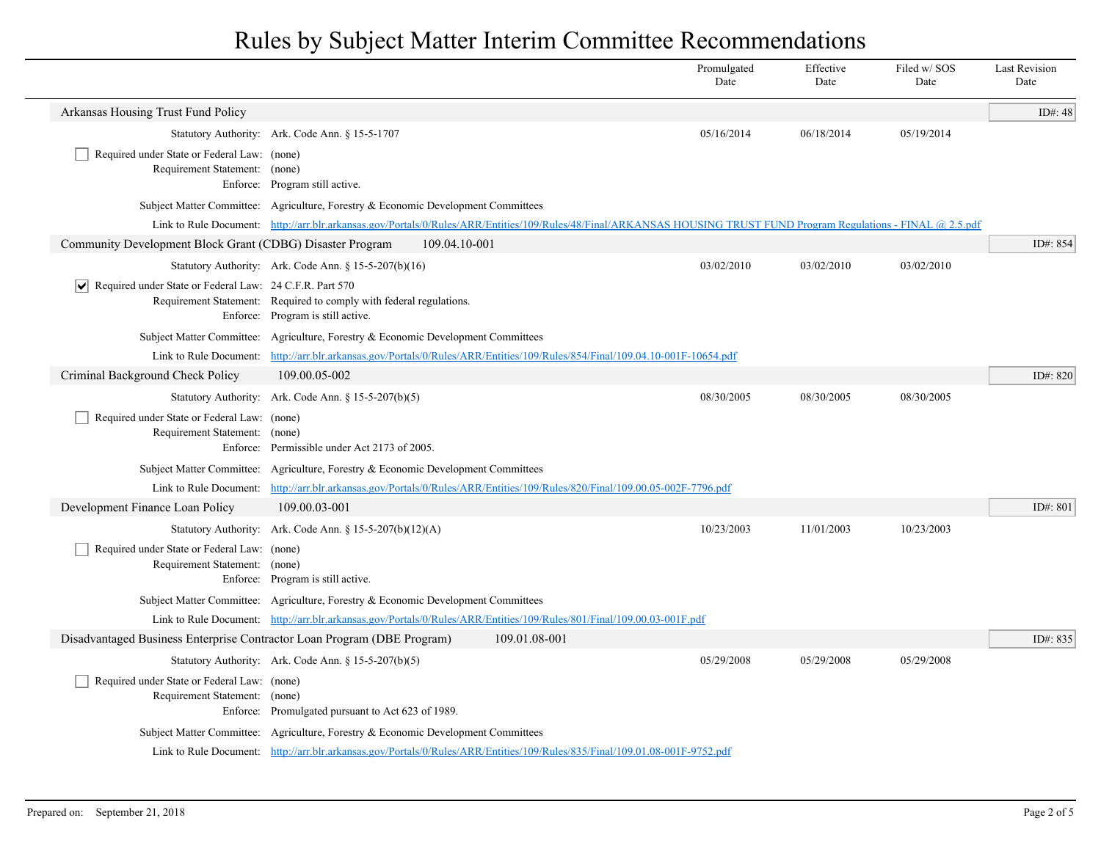|                                                                              |                                                                                                                                                                      |               | Promulgated<br>Date | Effective<br>Date | Filed w/SOS<br>Date | <b>Last Revision</b><br>Date |
|------------------------------------------------------------------------------|----------------------------------------------------------------------------------------------------------------------------------------------------------------------|---------------|---------------------|-------------------|---------------------|------------------------------|
| Arkansas Housing Trust Fund Policy                                           |                                                                                                                                                                      |               |                     |                   |                     | ID#: $48$                    |
|                                                                              | Statutory Authority: Ark. Code Ann. § 15-5-1707                                                                                                                      |               | 05/16/2014          | 06/18/2014        | 05/19/2014          |                              |
| Required under State or Federal Law: (none)<br>Requirement Statement: (none) | Enforce: Program still active.                                                                                                                                       |               |                     |                   |                     |                              |
|                                                                              | Subject Matter Committee: Agriculture, Forestry & Economic Development Committees                                                                                    |               |                     |                   |                     |                              |
|                                                                              | Link to Rule Document: http://arr.blr.arkansas.gov/Portals/0/Rules/ARR/Entities/109/Rules/48/Final/ARKANSAS HOUSING TRUST FUND Program Regulations - FINAL @ 2.5.pdf |               |                     |                   |                     |                              |
| Community Development Block Grant (CDBG) Disaster Program                    |                                                                                                                                                                      | 109.04.10-001 |                     |                   |                     | ID#: 854                     |
|                                                                              | Statutory Authority: Ark. Code Ann. $\S 15-5-207(b)(16)$                                                                                                             |               | 03/02/2010          | 03/02/2010        | 03/02/2010          |                              |
| $ \mathbf{v} $ Required under State or Federal Law: 24 C.F.R. Part 570       | Requirement Statement: Required to comply with federal regulations.<br>Enforce: Program is still active.                                                             |               |                     |                   |                     |                              |
|                                                                              | Subject Matter Committee: Agriculture, Forestry & Economic Development Committees                                                                                    |               |                     |                   |                     |                              |
|                                                                              | Link to Rule Document: http://arr.blr.arkansas.gov/Portals/0/Rules/ARR/Entities/109/Rules/854/Final/109.04.10-001F-10654.pdf                                         |               |                     |                   |                     |                              |
| Criminal Background Check Policy                                             | 109.00.05-002                                                                                                                                                        |               |                     |                   |                     | ID#: 820                     |
|                                                                              | Statutory Authority: Ark. Code Ann. § 15-5-207(b)(5)                                                                                                                 |               | 08/30/2005          | 08/30/2005        | 08/30/2005          |                              |
| Required under State or Federal Law: (none)<br>Requirement Statement:        | (none)<br>Enforce: Permissible under Act 2173 of 2005.                                                                                                               |               |                     |                   |                     |                              |
|                                                                              | Subject Matter Committee: Agriculture, Forestry & Economic Development Committees                                                                                    |               |                     |                   |                     |                              |
|                                                                              | Link to Rule Document: http://arr.blr.arkansas.gov/Portals/0/Rules/ARR/Entities/109/Rules/820/Final/109.00.05-002F-7796.pdf                                          |               |                     |                   |                     |                              |
| Development Finance Loan Policy                                              | 109.00.03-001                                                                                                                                                        |               |                     |                   |                     | ID#: 801                     |
|                                                                              | Statutory Authority: Ark. Code Ann. § 15-5-207(b)(12)(A)                                                                                                             |               | 10/23/2003          | 11/01/2003        | 10/23/2003          |                              |
| Required under State or Federal Law: (none)<br>Requirement Statement: (none) | Enforce: Program is still active.                                                                                                                                    |               |                     |                   |                     |                              |
|                                                                              | Subject Matter Committee: Agriculture, Forestry & Economic Development Committees                                                                                    |               |                     |                   |                     |                              |
|                                                                              | Link to Rule Document: http://arr.blr.arkansas.gov/Portals/0/Rules/ARR/Entities/109/Rules/801/Final/109.00.03-001F.pdf                                               |               |                     |                   |                     |                              |
| Disadvantaged Business Enterprise Contractor Loan Program (DBE Program)      |                                                                                                                                                                      | 109.01.08-001 |                     |                   |                     | ID#: 835                     |
|                                                                              | Statutory Authority: Ark. Code Ann. § 15-5-207(b)(5)                                                                                                                 |               | 05/29/2008          | 05/29/2008        | 05/29/2008          |                              |
| Required under State or Federal Law: (none)<br>Requirement Statement: (none) | Enforce: Promulgated pursuant to Act 623 of 1989.                                                                                                                    |               |                     |                   |                     |                              |
|                                                                              | Subject Matter Committee: Agriculture, Forestry & Economic Development Committees                                                                                    |               |                     |                   |                     |                              |
|                                                                              | Link to Rule Document: http://arr.blr.arkansas.gov/Portals/0/Rules/ARR/Entities/109/Rules/835/Final/109.01.08-001F-9752.pdf                                          |               |                     |                   |                     |                              |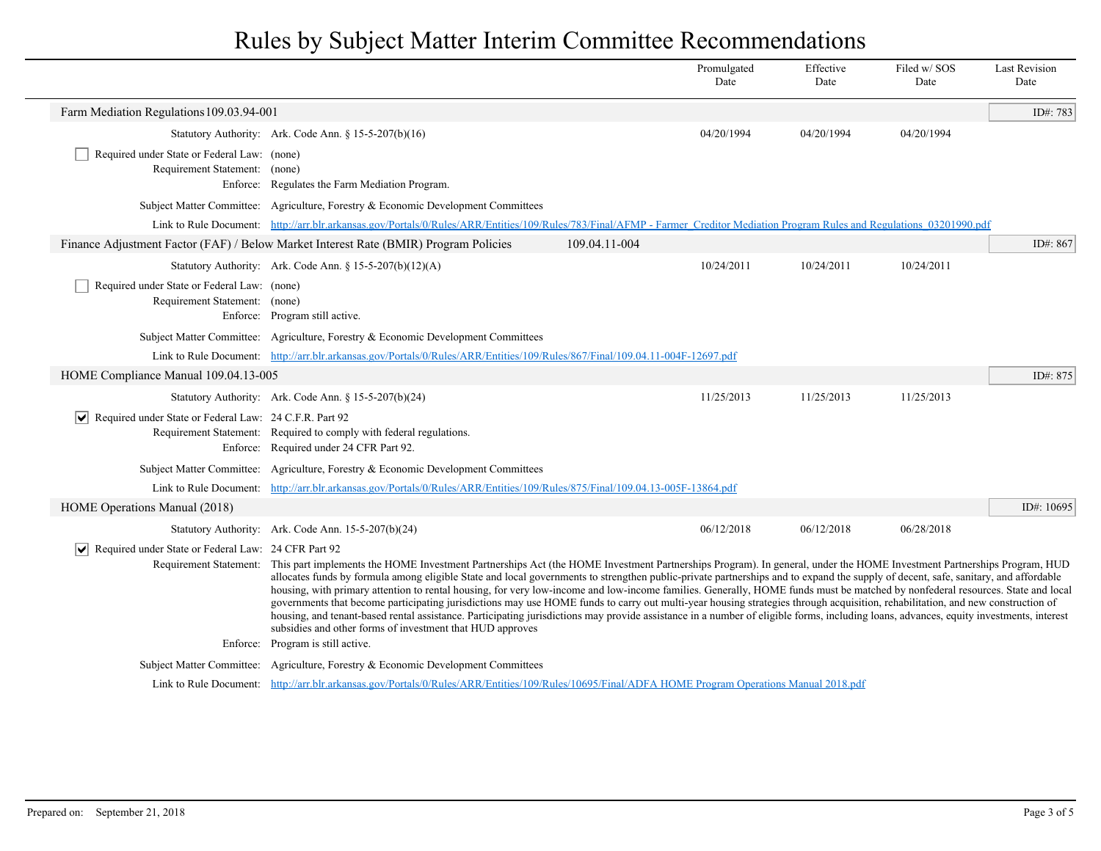|                                                                               |                                                                                                                                                                                                                                                                                                                                                                                                                                                                                                                                                                                                                                                                                                                                                                                                                                                                                                                                                                                                                                                                                      | Promulgated<br>Date | Effective<br>Date | Filed w/SOS<br>Date | <b>Last Revision</b><br>Date |  |
|-------------------------------------------------------------------------------|--------------------------------------------------------------------------------------------------------------------------------------------------------------------------------------------------------------------------------------------------------------------------------------------------------------------------------------------------------------------------------------------------------------------------------------------------------------------------------------------------------------------------------------------------------------------------------------------------------------------------------------------------------------------------------------------------------------------------------------------------------------------------------------------------------------------------------------------------------------------------------------------------------------------------------------------------------------------------------------------------------------------------------------------------------------------------------------|---------------------|-------------------|---------------------|------------------------------|--|
| Farm Mediation Regulations 109.03.94-001                                      |                                                                                                                                                                                                                                                                                                                                                                                                                                                                                                                                                                                                                                                                                                                                                                                                                                                                                                                                                                                                                                                                                      |                     |                   |                     | ID#: 783                     |  |
|                                                                               | Statutory Authority: Ark. Code Ann. § 15-5-207(b)(16)                                                                                                                                                                                                                                                                                                                                                                                                                                                                                                                                                                                                                                                                                                                                                                                                                                                                                                                                                                                                                                | 04/20/1994          | 04/20/1994        | 04/20/1994          |                              |  |
| Required under State or Federal Law: (none)                                   |                                                                                                                                                                                                                                                                                                                                                                                                                                                                                                                                                                                                                                                                                                                                                                                                                                                                                                                                                                                                                                                                                      |                     |                   |                     |                              |  |
| Requirement Statement: (none)                                                 | Enforce: Regulates the Farm Mediation Program.                                                                                                                                                                                                                                                                                                                                                                                                                                                                                                                                                                                                                                                                                                                                                                                                                                                                                                                                                                                                                                       |                     |                   |                     |                              |  |
|                                                                               | Subject Matter Committee: Agriculture, Forestry & Economic Development Committees                                                                                                                                                                                                                                                                                                                                                                                                                                                                                                                                                                                                                                                                                                                                                                                                                                                                                                                                                                                                    |                     |                   |                     |                              |  |
|                                                                               | Link to Rule Document: http://arr.blr.arkansas.gov/Portals/0/Rules/ARR/Entities/109/Rules/783/Final/AFMP - Farmer Creditor Mediation Program Rules and Regulations 03201990.pdf                                                                                                                                                                                                                                                                                                                                                                                                                                                                                                                                                                                                                                                                                                                                                                                                                                                                                                      |                     |                   |                     |                              |  |
|                                                                               | Finance Adjustment Factor (FAF) / Below Market Interest Rate (BMIR) Program Policies                                                                                                                                                                                                                                                                                                                                                                                                                                                                                                                                                                                                                                                                                                                                                                                                                                                                                                                                                                                                 | 109.04.11-004       |                   |                     | ID#: 867                     |  |
|                                                                               | Statutory Authority: Ark. Code Ann. § 15-5-207(b)(12)(A)                                                                                                                                                                                                                                                                                                                                                                                                                                                                                                                                                                                                                                                                                                                                                                                                                                                                                                                                                                                                                             | 10/24/2011          | 10/24/2011        | 10/24/2011          |                              |  |
| Required under State or Federal Law: (none)<br>Requirement Statement: (none)  | Enforce: Program still active.                                                                                                                                                                                                                                                                                                                                                                                                                                                                                                                                                                                                                                                                                                                                                                                                                                                                                                                                                                                                                                                       |                     |                   |                     |                              |  |
|                                                                               | Subject Matter Committee: Agriculture, Forestry & Economic Development Committees                                                                                                                                                                                                                                                                                                                                                                                                                                                                                                                                                                                                                                                                                                                                                                                                                                                                                                                                                                                                    |                     |                   |                     |                              |  |
|                                                                               | Link to Rule Document: http://arr.blr.arkansas.gov/Portals/0/Rules/ARR/Entities/109/Rules/867/Final/109.04.11-004F-12697.pdf                                                                                                                                                                                                                                                                                                                                                                                                                                                                                                                                                                                                                                                                                                                                                                                                                                                                                                                                                         |                     |                   |                     |                              |  |
| HOME Compliance Manual 109.04.13-005                                          |                                                                                                                                                                                                                                                                                                                                                                                                                                                                                                                                                                                                                                                                                                                                                                                                                                                                                                                                                                                                                                                                                      |                     |                   |                     | ID#: 875                     |  |
|                                                                               | Statutory Authority: Ark. Code Ann. § 15-5-207(b)(24)                                                                                                                                                                                                                                                                                                                                                                                                                                                                                                                                                                                                                                                                                                                                                                                                                                                                                                                                                                                                                                | 11/25/2013          | 11/25/2013        | 11/25/2013          |                              |  |
| $ \bm{\mathsf{v}} $<br>Required under State or Federal Law: 24 C.F.R. Part 92 | Requirement Statement: Required to comply with federal regulations.<br>Enforce: Required under 24 CFR Part 92.                                                                                                                                                                                                                                                                                                                                                                                                                                                                                                                                                                                                                                                                                                                                                                                                                                                                                                                                                                       |                     |                   |                     |                              |  |
|                                                                               | Subject Matter Committee: Agriculture, Forestry & Economic Development Committees                                                                                                                                                                                                                                                                                                                                                                                                                                                                                                                                                                                                                                                                                                                                                                                                                                                                                                                                                                                                    |                     |                   |                     |                              |  |
|                                                                               | Link to Rule Document: http://arr.blr.arkansas.gov/Portals/0/Rules/ARR/Entities/109/Rules/875/Final/109.04.13-005F-13864.pdf                                                                                                                                                                                                                                                                                                                                                                                                                                                                                                                                                                                                                                                                                                                                                                                                                                                                                                                                                         |                     |                   |                     |                              |  |
| HOME Operations Manual (2018)                                                 |                                                                                                                                                                                                                                                                                                                                                                                                                                                                                                                                                                                                                                                                                                                                                                                                                                                                                                                                                                                                                                                                                      |                     |                   |                     | ID#: 10695                   |  |
|                                                                               | Statutory Authority: Ark. Code Ann. 15-5-207(b)(24)                                                                                                                                                                                                                                                                                                                                                                                                                                                                                                                                                                                                                                                                                                                                                                                                                                                                                                                                                                                                                                  | 06/12/2018          | 06/12/2018        | 06/28/2018          |                              |  |
| Requirement Statement:                                                        | ↓ Required under State or Federal Law: 24 CFR Part 92<br>This part implements the HOME Investment Partnerships Act (the HOME Investment Partnerships Program). In general, under the HOME Investment Partnerships Program, HUD<br>allocates funds by formula among eligible State and local governments to strengthen public-private partnerships and to expand the supply of decent, safe, sanitary, and affordable<br>housing, with primary attention to rental housing, for very low-income and low-income families. Generally, HOME funds must be matched by nonfederal resources. State and local<br>governments that become participating jurisdictions may use HOME funds to carry out multi-year housing strategies through acquisition, rehabilitation, and new construction of<br>housing, and tenant-based rental assistance. Participating jurisdictions may provide assistance in a number of eligible forms, including loans, advances, equity investments, interest<br>subsidies and other forms of investment that HUD approves<br>Enforce: Program is still active. |                     |                   |                     |                              |  |
|                                                                               |                                                                                                                                                                                                                                                                                                                                                                                                                                                                                                                                                                                                                                                                                                                                                                                                                                                                                                                                                                                                                                                                                      |                     |                   |                     |                              |  |
|                                                                               | Subject Matter Committee: Agriculture, Forestry & Economic Development Committees<br>Link to Rule Document: http://arr.blr.arkansas.gov/Portals/0/Rules/ARR/Entities/109/Rules/10695/Final/ADFA HOME Program Operations Manual 2018.pdf                                                                                                                                                                                                                                                                                                                                                                                                                                                                                                                                                                                                                                                                                                                                                                                                                                              |                     |                   |                     |                              |  |
|                                                                               |                                                                                                                                                                                                                                                                                                                                                                                                                                                                                                                                                                                                                                                                                                                                                                                                                                                                                                                                                                                                                                                                                      |                     |                   |                     |                              |  |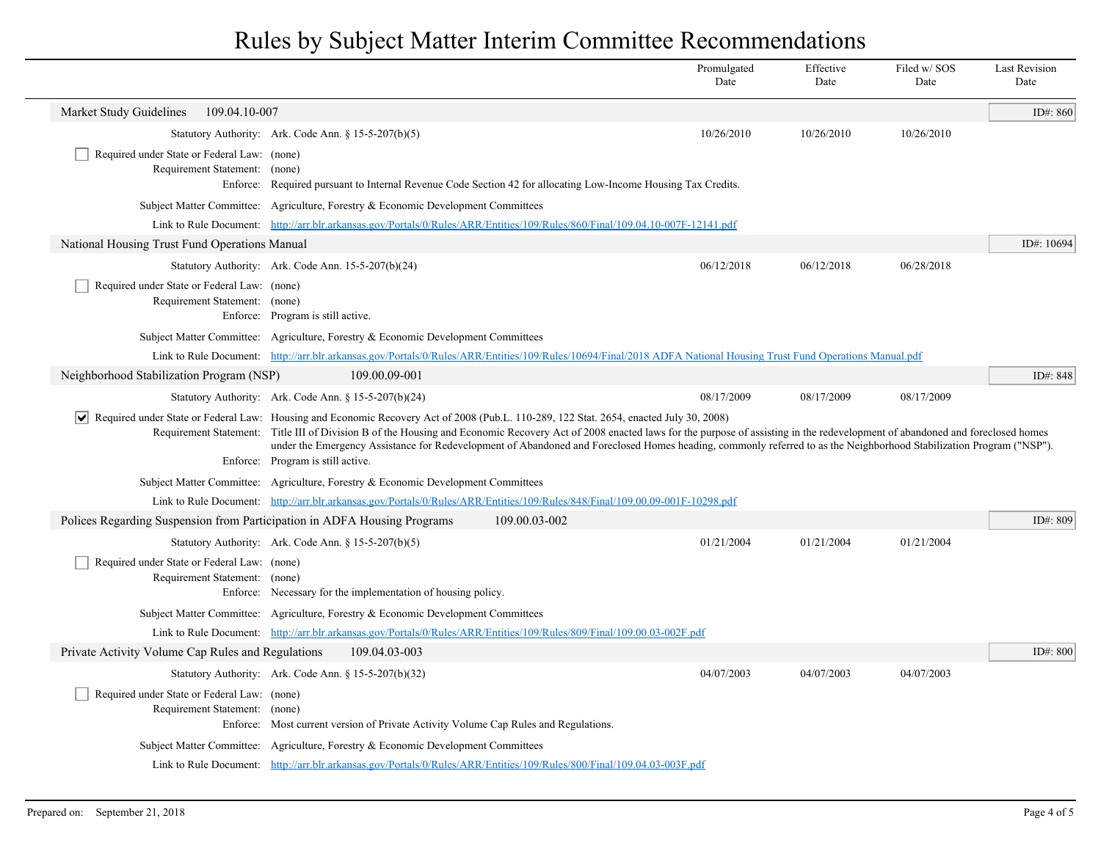|                                                                              |                                                                                                                                                                                                                                                                                                                                                                                                                                                                                                                                                        | Promulgated<br>Date                                                                                                          | Effective<br>Date | Filed w/SOS<br>Date | <b>Last Revision</b><br>Date |  |  |
|------------------------------------------------------------------------------|--------------------------------------------------------------------------------------------------------------------------------------------------------------------------------------------------------------------------------------------------------------------------------------------------------------------------------------------------------------------------------------------------------------------------------------------------------------------------------------------------------------------------------------------------------|------------------------------------------------------------------------------------------------------------------------------|-------------------|---------------------|------------------------------|--|--|
| Market Study Guidelines<br>109.04.10-007                                     |                                                                                                                                                                                                                                                                                                                                                                                                                                                                                                                                                        |                                                                                                                              |                   |                     | ID#: 860                     |  |  |
|                                                                              | Statutory Authority: Ark. Code Ann. § 15-5-207(b)(5)                                                                                                                                                                                                                                                                                                                                                                                                                                                                                                   | 10/26/2010                                                                                                                   | 10/26/2010        | 10/26/2010          |                              |  |  |
| Required under State or Federal Law: (none)<br>Requirement Statement: (none) | Enforce: Required pursuant to Internal Revenue Code Section 42 for allocating Low-Income Housing Tax Credits.                                                                                                                                                                                                                                                                                                                                                                                                                                          |                                                                                                                              |                   |                     |                              |  |  |
|                                                                              | Subject Matter Committee: Agriculture, Forestry & Economic Development Committees                                                                                                                                                                                                                                                                                                                                                                                                                                                                      |                                                                                                                              |                   |                     |                              |  |  |
|                                                                              |                                                                                                                                                                                                                                                                                                                                                                                                                                                                                                                                                        | Link to Rule Document: http://arr.blr.arkansas.gov/Portals/0/Rules/ARR/Entities/109/Rules/860/Final/109.04.10-007F-12141.pdf |                   |                     |                              |  |  |
| National Housing Trust Fund Operations Manual                                |                                                                                                                                                                                                                                                                                                                                                                                                                                                                                                                                                        |                                                                                                                              |                   |                     | ID#: 10694                   |  |  |
|                                                                              | Statutory Authority: Ark. Code Ann. 15-5-207(b)(24)                                                                                                                                                                                                                                                                                                                                                                                                                                                                                                    | 06/12/2018                                                                                                                   | 06/12/2018        | 06/28/2018          |                              |  |  |
| Required under State or Federal Law: (none)<br>Requirement Statement: (none) | Enforce: Program is still active.                                                                                                                                                                                                                                                                                                                                                                                                                                                                                                                      |                                                                                                                              |                   |                     |                              |  |  |
|                                                                              | Subject Matter Committee: Agriculture, Forestry & Economic Development Committees                                                                                                                                                                                                                                                                                                                                                                                                                                                                      |                                                                                                                              |                   |                     |                              |  |  |
|                                                                              | Link to Rule Document: http://arr.blr.arkansas.gov/Portals/0/Rules/ARR/Entities/109/Rules/10694/Final/2018 ADFA National Housing Trust Fund Operations Manual.pdf                                                                                                                                                                                                                                                                                                                                                                                      |                                                                                                                              |                   |                     |                              |  |  |
| Neighborhood Stabilization Program (NSP)                                     | 109.00.09-001                                                                                                                                                                                                                                                                                                                                                                                                                                                                                                                                          |                                                                                                                              |                   |                     | ID#: $848$                   |  |  |
|                                                                              | Statutory Authority: Ark. Code Ann. § 15-5-207(b)(24)                                                                                                                                                                                                                                                                                                                                                                                                                                                                                                  | 08/17/2009                                                                                                                   | 08/17/2009        | 08/17/2009          |                              |  |  |
|                                                                              | Required under State or Federal Law: Housing and Economic Recovery Act of 2008 (Pub.L. 110-289, 122 Stat. 2654, enacted July 30, 2008)<br>Requirement Statement: Title III of Division B of the Housing and Economic Recovery Act of 2008 enacted laws for the purpose of assisting in the redevelopment of abandoned and foreclosed homes<br>under the Emergency Assistance for Redevelopment of Abandoned and Foreclosed Homes heading, commonly referred to as the Neighborhood Stabilization Program ("NSP").<br>Enforce: Program is still active. |                                                                                                                              |                   |                     |                              |  |  |
|                                                                              | Subject Matter Committee: Agriculture, Forestry & Economic Development Committees                                                                                                                                                                                                                                                                                                                                                                                                                                                                      |                                                                                                                              |                   |                     |                              |  |  |
|                                                                              | Link to Rule Document: http://arr.blr.arkansas.gov/Portals/0/Rules/ARR/Entities/109/Rules/848/Final/109.00.09-001F-10298.pdf                                                                                                                                                                                                                                                                                                                                                                                                                           |                                                                                                                              |                   |                     |                              |  |  |
| Polices Regarding Suspension from Participation in ADFA Housing Programs     | 109.00.03-002                                                                                                                                                                                                                                                                                                                                                                                                                                                                                                                                          |                                                                                                                              |                   |                     | ID#: 809                     |  |  |
|                                                                              | Statutory Authority: Ark. Code Ann. § 15-5-207(b)(5)                                                                                                                                                                                                                                                                                                                                                                                                                                                                                                   | 01/21/2004                                                                                                                   | 01/21/2004        | 01/21/2004          |                              |  |  |
| Required under State or Federal Law: (none)<br>Requirement Statement: (none) | Enforce: Necessary for the implementation of housing policy.                                                                                                                                                                                                                                                                                                                                                                                                                                                                                           |                                                                                                                              |                   |                     |                              |  |  |
|                                                                              | Subject Matter Committee: Agriculture, Forestry & Economic Development Committees                                                                                                                                                                                                                                                                                                                                                                                                                                                                      |                                                                                                                              |                   |                     |                              |  |  |
|                                                                              | Link to Rule Document: http://arr.blr.arkansas.gov/Portals/0/Rules/ARR/Entities/109/Rules/809/Final/109.00.03-002F.pdf                                                                                                                                                                                                                                                                                                                                                                                                                                 |                                                                                                                              |                   |                     |                              |  |  |
| Private Activity Volume Cap Rules and Regulations                            | 109.04.03-003                                                                                                                                                                                                                                                                                                                                                                                                                                                                                                                                          |                                                                                                                              |                   |                     | ID#: 800                     |  |  |
|                                                                              | Statutory Authority: Ark. Code Ann. § 15-5-207(b)(32)                                                                                                                                                                                                                                                                                                                                                                                                                                                                                                  | 04/07/2003                                                                                                                   | 04/07/2003        | 04/07/2003          |                              |  |  |
| Required under State or Federal Law: (none)<br>Requirement Statement: (none) | Enforce: Most current version of Private Activity Volume Cap Rules and Regulations.                                                                                                                                                                                                                                                                                                                                                                                                                                                                    |                                                                                                                              |                   |                     |                              |  |  |
|                                                                              | Subject Matter Committee: Agriculture, Forestry & Economic Development Committees                                                                                                                                                                                                                                                                                                                                                                                                                                                                      |                                                                                                                              |                   |                     |                              |  |  |
|                                                                              | Link to Rule Document: http://arr.blr.arkansas.gov/Portals/0/Rules/ARR/Entities/109/Rules/800/Final/109.04.03-003F.pdf                                                                                                                                                                                                                                                                                                                                                                                                                                 |                                                                                                                              |                   |                     |                              |  |  |